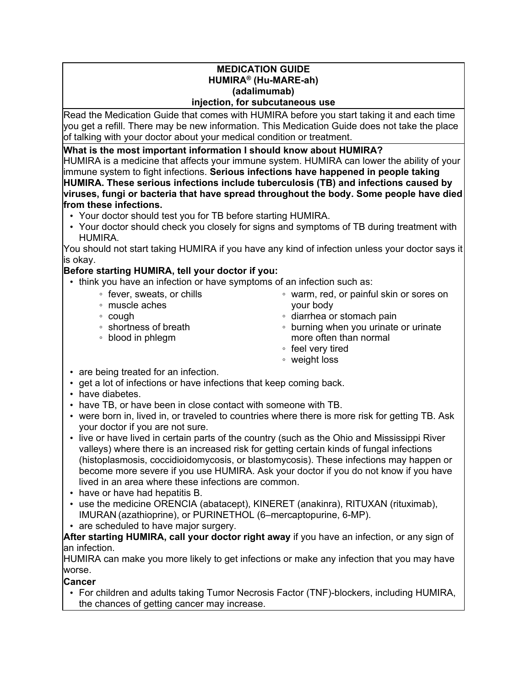#### **MEDICATION GUIDE HUMIRA® (Hu-MARE-ah) (adalimumab) injection, for subcutaneous use**

Read the Medication Guide that comes with HUMIRA before you start taking it and each time you get a refill. There may be new information. This Medication Guide does not take the place of talking with your doctor about your medical condition or treatment.

**What is the most important information I should know about HUMIRA?**

HUMIRA is a medicine that affects your immune system. HUMIRA can lower the ability of your immune system to fight infections. **Serious infections have happened in people taking HUMIRA. These serious infections include tuberculosis (TB) and infections caused by viruses, fungi or bacteria that have spread throughout the body. Some people have died from these infections.**

- Your doctor should test you for TB before starting HUMIRA.
- Your doctor should check you closely for signs and symptoms of TB during treatment with HUMIRA.

You should not start taking HUMIRA if you have any kind of infection unless your doctor says it is okay.

## **Before starting HUMIRA, tell your doctor if you:**

- think you have an infection or have symptoms of an infection such as:
	- fever, sweats, or chills
	- muscle aches
	- cough
	- shortness of breath
	- blood in phlegm
- warm, red, or painful skin or sores on your body
- diarrhea or stomach pain
- burning when you urinate or urinate more often than normal
- feel very tired
- weight loss
- are being treated for an infection.
- get a lot of infections or have infections that keep coming back.
- have diabetes.
- have TB, or have been in close contact with someone with TB.
- were born in, lived in, or traveled to countries where there is more risk for getting TB. Ask your doctor if you are not sure.
- live or have lived in certain parts of the country (such as the Ohio and Mississippi River valleys) where there is an increased risk for getting certain kinds of fungal infections (histoplasmosis, coccidioidomycosis, or blastomycosis). These infections may happen or become more severe if you use HUMIRA. Ask your doctor if you do not know if you have lived in an area where these infections are common.
- have or have had hepatitis B.
- use the medicine ORENCIA (abatacept), KINERET (anakinra), RITUXAN (rituximab), IMURAN (azathioprine), or PURINETHOL (6–mercaptopurine, 6-MP).
- are scheduled to have major surgery.

**After starting HUMIRA, call your doctor right away** if you have an infection, or any sign of an infection.

HUMIRA can make you more likely to get infections or make any infection that you may have worse.

### **Cancer**

• For children and adults taking Tumor Necrosis Factor (TNF)-blockers, including HUMIRA, the chances of getting cancer may increase.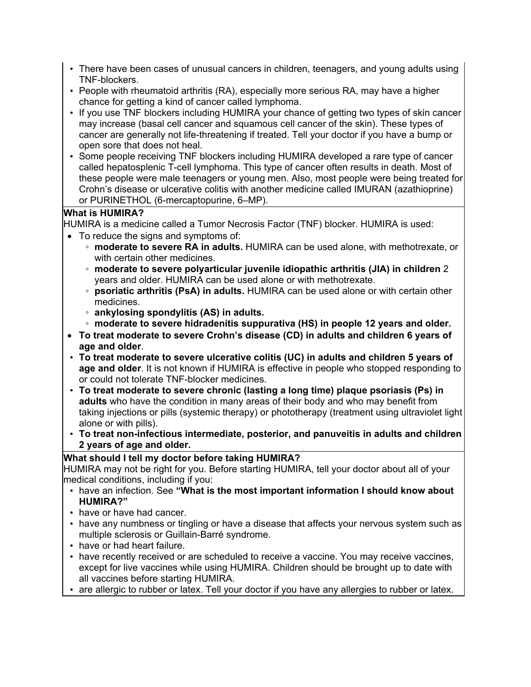- There have been cases of unusual cancers in children, teenagers, and young adults using TNF-blockers.
- People with rheumatoid arthritis (RA), especially more serious RA, may have a higher chance for getting a kind of cancer called lymphoma.
- If you use TNF blockers including HUMIRA your chance of getting two types of skin cancer may increase (basal cell cancer and squamous cell cancer of the skin). These types of cancer are generally not life-threatening if treated. Tell your doctor if you have a bump or open sore that does not heal.
- Some people receiving TNF blockers including HUMIRA developed a rare type of cancer called hepatosplenic T-cell lymphoma. This type of cancer often results in death. Most of these people were male teenagers or young men. Also, most people were being treated for Crohn's disease or ulcerative colitis with another medicine called IMURAN (azathioprine) or PURINETHOL (6-mercaptopurine, 6–MP).

### **What is HUMIRA?**

HUMIRA is a medicine called a Tumor Necrosis Factor (TNF) blocker. HUMIRA is used:

- To reduce the signs and symptoms of:
	- **moderate to severe RA in adults.** HUMIRA can be used alone, with methotrexate, or with certain other medicines.
	- **moderate to severe polyarticular juvenile idiopathic arthritis (JIA) in children** 2 years and older. HUMIRA can be used alone or with methotrexate.
	- **psoriatic arthritis (PsA) in adults.** HUMIRA can be used alone or with certain other medicines.
	- **ankylosing spondylitis (AS) in adults.**
	- **moderate to severe hidradenitis suppurativa (HS) in people 12 years and older.**
- **To treat moderate to severe Crohn's disease (CD) in adults and children 6 years of age and older**.
- **To treat moderate to severe ulcerative colitis (UC) in adults and children 5 years of age and older**. It is not known if HUMIRA is effective in people who stopped responding to or could not tolerate TNF-blocker medicines.
- **To treat moderate to severe chronic (lasting a long time) plaque psoriasis (Ps) in adults** who have the condition in many areas of their body and who may benefit from taking injections or pills (systemic therapy) or phototherapy (treatment using ultraviolet light alone or with pills).
- **To treat non-infectious intermediate, posterior, and panuveitis in adults and children 2 years of age and older.**

### **What should I tell my doctor before taking HUMIRA?**

HUMIRA may not be right for you. Before starting HUMIRA, tell your doctor about all of your medical conditions, including if you:

- have an infection. See **"What is the most important information I should know about HUMIRA?"**
- have or have had cancer.
- have any numbness or tingling or have a disease that affects your nervous system such as multiple sclerosis or Guillain-Barré syndrome.
- have or had heart failure.
- have recently received or are scheduled to receive a vaccine. You may receive vaccines, except for live vaccines while using HUMIRA. Children should be brought up to date with all vaccines before starting HUMIRA.
- are allergic to rubber or latex. Tell your doctor if you have any allergies to rubber or latex.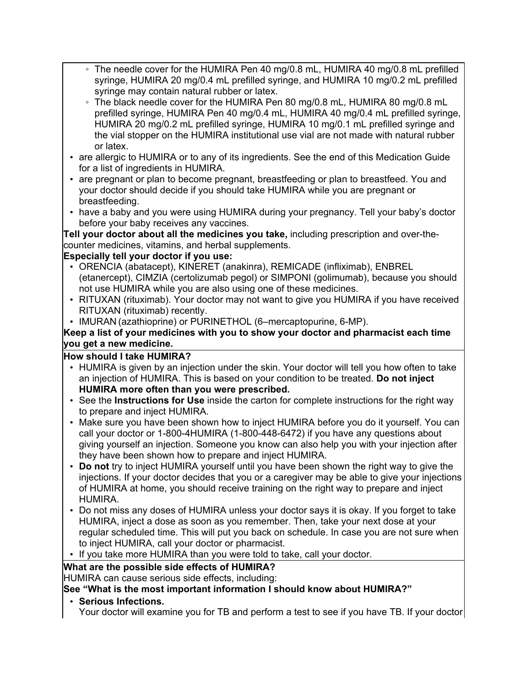- The needle cover for the HUMIRA Pen 40 mg/0.8 mL, HUMIRA 40 mg/0.8 mL prefilled syringe, HUMIRA 20 mg/0.4 mL prefilled syringe, and HUMIRA 10 mg/0.2 mL prefilled syringe may contain natural rubber or latex.
- The black needle cover for the HUMIRA Pen 80 mg/0.8 mL, HUMIRA 80 mg/0.8 mL prefilled syringe, HUMIRA Pen 40 mg/0.4 mL, HUMIRA 40 mg/0.4 mL prefilled syringe, HUMIRA 20 mg/0.2 mL prefilled syringe, HUMIRA 10 mg/0.1 mL prefilled syringe and the vial stopper on the HUMIRA institutional use vial are not made with natural rubber or latex.
- are allergic to HUMIRA or to any of its ingredients. See the end of this Medication Guide for a list of ingredients in HUMIRA.
- are pregnant or plan to become pregnant, breastfeeding or plan to breastfeed. You and your doctor should decide if you should take HUMIRA while you are pregnant or breastfeeding.
- have a baby and you were using HUMIRA during your pregnancy. Tell your baby's doctor before your baby receives any vaccines.

**Tell your doctor about all the medicines you take,** including prescription and over-thecounter medicines, vitamins, and herbal supplements.

## **Especially tell your doctor if you use:**

- ORENCIA (abatacept), KINERET (anakinra), REMICADE (infliximab), ENBREL (etanercept), CIMZIA (certolizumab pegol) or SIMPONI (golimumab), because you should not use HUMIRA while you are also using one of these medicines.
- RITUXAN (rituximab). Your doctor may not want to give you HUMIRA if you have received RITUXAN (rituximab) recently.
- IMURAN (azathioprine) or PURINETHOL (6–mercaptopurine, 6-MP).

### **Keep a list of your medicines with you to show your doctor and pharmacist each time you get a new medicine.**

## **How should I take HUMIRA?**

- HUMIRA is given by an injection under the skin. Your doctor will tell you how often to take an injection of HUMIRA. This is based on your condition to be treated. **Do not inject HUMIRA more often than you were prescribed.**
- See the **Instructions for Use** inside the carton for complete instructions for the right way to prepare and inject HUMIRA.
- Make sure you have been shown how to inject HUMIRA before you do it yourself. You can call your doctor or 1-800-4HUMIRA (1-800-448-6472) if you have any questions about giving yourself an injection. Someone you know can also help you with your injection after they have been shown how to prepare and inject HUMIRA.
- **Do not** try to inject HUMIRA yourself until you have been shown the right way to give the injections. If your doctor decides that you or a caregiver may be able to give your injections of HUMIRA at home, you should receive training on the right way to prepare and inject HUMIRA.
- Do not miss any doses of HUMIRA unless your doctor says it is okay. If you forget to take HUMIRA, inject a dose as soon as you remember. Then, take your next dose at your regular scheduled time. This will put you back on schedule. In case you are not sure when to inject HUMIRA, call your doctor or pharmacist.
- If you take more HUMIRA than you were told to take, call your doctor.

## **What are the possible side effects of HUMIRA?**

HUMIRA can cause serious side effects, including:

## **See "What is the most important information I should know about HUMIRA?"**

• **Serious Infections.**

Your doctor will examine you for TB and perform a test to see if you have TB. If your doctor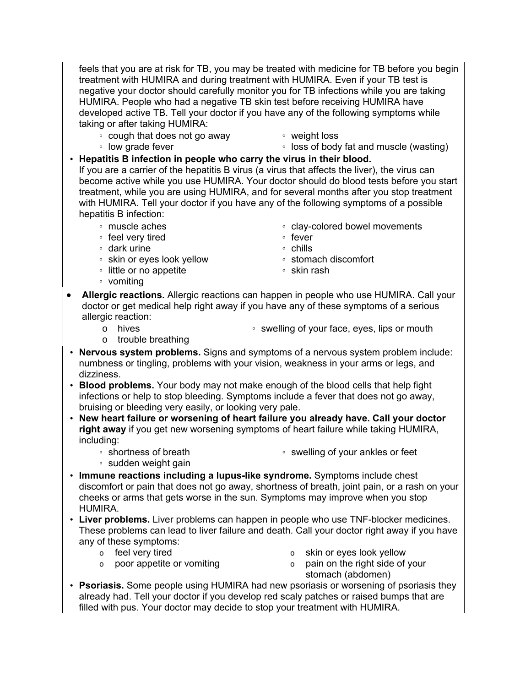feels that you are at risk for TB, you may be treated with medicine for TB before you begin treatment with HUMIRA and during treatment with HUMIRA. Even if your TB test is negative your doctor should carefully monitor you for TB infections while you are taking HUMIRA. People who had a negative TB skin test before receiving HUMIRA have developed active TB. Tell your doctor if you have any of the following symptoms while taking or after taking HUMIRA:

- cough that does not go away
- weight loss

◦ low grade fever

- loss of body fat and muscle (wasting)
- **Hepatitis B infection in people who carry the virus in their blood.**

If you are a carrier of the hepatitis B virus (a virus that affects the liver), the virus can become active while you use HUMIRA. Your doctor should do blood tests before you start treatment, while you are using HUMIRA, and for several months after you stop treatment with HUMIRA. Tell your doctor if you have any of the following symptoms of a possible hepatitis B infection:

- muscle aches
- feel very tired
- dark urine
- skin or eyes look yellow
- little or no appetite
- vomiting
- clay-colored bowel movements
- fever
- chills
- stomach discomfort
- skin rash
- **Allergic reactions.** Allergic reactions can happen in people who use HUMIRA. Call your doctor or get medical help right away if you have any of these symptoms of a serious allergic reaction:
	- o hives
- swelling of your face, eyes, lips or mouth
- o trouble breathing
- **Nervous system problems.** Signs and symptoms of a nervous system problem include: numbness or tingling, problems with your vision, weakness in your arms or legs, and dizziness.
- **Blood problems.** Your body may not make enough of the blood cells that help fight infections or help to stop bleeding. Symptoms include a fever that does not go away, bruising or bleeding very easily, or looking very pale.
- **New heart failure or worsening of heart failure you already have. Call your doctor right away** if you get new worsening symptoms of heart failure while taking HUMIRA, including:
	- shortness of breath
- swelling of your ankles or feet
- sudden weight gain
- **Immune reactions including a lupus-like syndrome.** Symptoms include chest discomfort or pain that does not go away, shortness of breath, joint pain, or a rash on your cheeks or arms that gets worse in the sun. Symptoms may improve when you stop HUMIRA.
- **Liver problems.** Liver problems can happen in people who use TNF-blocker medicines. These problems can lead to liver failure and death. Call your doctor right away if you have any of these symptoms:
	-
	- $\circ$  feel very tired  $\circ$  skin or eyes look yellow  $\circ$  poor appetite or vomiting  $\circ$  pain on the right side of
	-
- $\circ$  pain on the right side of your stomach (abdomen)
- **Psoriasis.** Some people using HUMIRA had new psoriasis or worsening of psoriasis they already had. Tell your doctor if you develop red scaly patches or raised bumps that are filled with pus. Your doctor may decide to stop your treatment with HUMIRA.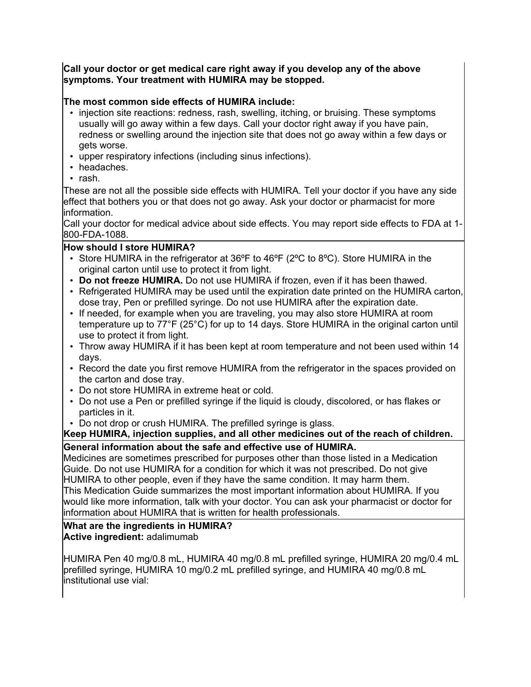#### **Call your doctor or get medical care right away if you develop any of the above symptoms. Your treatment with HUMIRA may be stopped.**

#### **The most common side effects of HUMIRA include:**

- injection site reactions: redness, rash, swelling, itching, or bruising. These symptoms usually will go away within a few days. Call your doctor right away if you have pain, redness or swelling around the injection site that does not go away within a few days or gets worse.
- upper respiratory infections (including sinus infections).
- headaches.
- rash.

These are not all the possible side effects with HUMIRA. Tell your doctor if you have any side effect that bothers you or that does not go away. Ask your doctor or pharmacist for more information.

Call your doctor for medical advice about side effects. You may report side effects to FDA at 1- 800-FDA-1088.

#### **How should I store HUMIRA?**

- Store HUMIRA in the refrigerator at 36ºF to 46ºF (2ºC to 8ºC). Store HUMIRA in the original carton until use to protect it from light.
- **Do not freeze HUMIRA.** Do not use HUMIRA if frozen, even if it has been thawed.
- Refrigerated HUMIRA may be used until the expiration date printed on the HUMIRA carton, dose tray, Pen or prefilled syringe. Do not use HUMIRA after the expiration date.
- If needed, for example when you are traveling, you may also store HUMIRA at room temperature up to 77°F (25°C) for up to 14 days. Store HUMIRA in the original carton until use to protect it from light.
- Throw away HUMIRA if it has been kept at room temperature and not been used within 14 days.
- Record the date you first remove HUMIRA from the refrigerator in the spaces provided on the carton and dose tray.
- Do not store HUMIRA in extreme heat or cold.
- Do not use a Pen or prefilled syringe if the liquid is cloudy, discolored, or has flakes or particles in it.
- Do not drop or crush HUMIRA. The prefilled syringe is glass.

# **Keep HUMIRA, injection supplies, and all other medicines out of the reach of children.**

#### **General information about the safe and effective use of HUMIRA.**

Medicines are sometimes prescribed for purposes other than those listed in a Medication Guide. Do not use HUMIRA for a condition for which it was not prescribed. Do not give HUMIRA to other people, even if they have the same condition. It may harm them. This Medication Guide summarizes the most important information about HUMIRA. If you would like more information, talk with your doctor. You can ask your pharmacist or doctor for information about HUMIRA that is written for health professionals.

## **What are the ingredients in HUMIRA?**

**Active ingredient:** adalimumab

HUMIRA Pen 40 mg/0.8 mL, HUMIRA 40 mg/0.8 mL prefilled syringe, HUMIRA 20 mg/0.4 mL prefilled syringe, HUMIRA 10 mg/0.2 mL prefilled syringe, and HUMIRA 40 mg/0.8 mL institutional use vial: